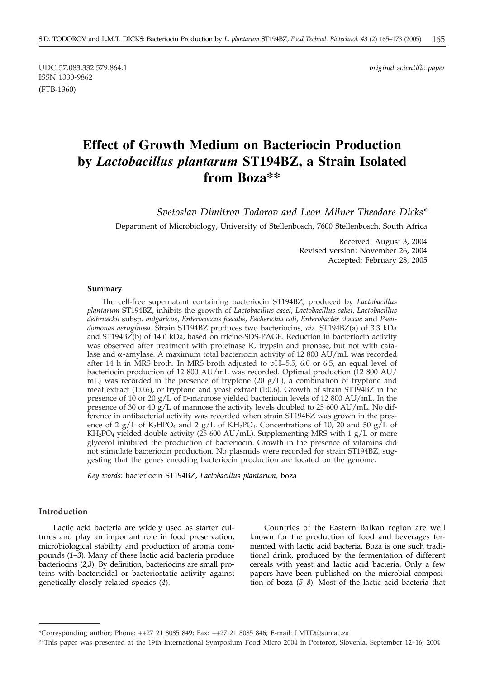UDC 57.083.332:579.864.1 *original scientific paper* ISSN 1330-9862 (FTB-1360)

# **Effect of Growth Medium on Bacteriocin Production by** *Lactobacillus plantarum* **ST194BZ, a Strain Isolated from Boza\*\***

*Svetoslav Dimitrov Todorov and Leon Milner Theodore Dicks\**

Department of Microbiology, University of Stellenbosch, 7600 Stellenbosch, South Africa

Received: August 3, 2004 Revised version: November 26, 2004 Accepted: February 28, 2005

#### **Summary**

The cell-free supernatant containing bacteriocin ST194BZ, produced by *Lactobacillus plantarum* ST194BZ, inhibits the growth of *Lactobacillus casei*, *Lactobacillus sakei*, *Lactobacillus delbrueckii* subsp. *bulgaricus*, *Enterococcus faecalis*, *Escherichia coli*, *Enterobacter cloacae* and *Pseudomonas aeruginosa*. Strain ST194BZ produces two bacteriocins, *viz.* ST194BZ(a) of 3.3 kDa and ST194BZ(b) of 14.0 kDa, based on tricine-SDS-PAGE. Reduction in bacteriocin activity was observed after treatment with proteinase K, trypsin and pronase, but not with catalase and  $\alpha$ -amylase. A maximum total bacteriocin activity of 12 800 AU/mL was recorded after 14 h in MRS broth. In MRS broth adjusted to  $pH=5.5$ , 6.0 or 6.5, an equal level of bacteriocin production of 12 800 AU/mL was recorded. Optimal production (12 800 AU/ mL) was recorded in the presence of tryptone (20 g/L), a combination of tryptone and meat extract (1:0.6), or tryptone and yeast extract (1:0.6). Growth of strain ST194BZ in the presence of 10 or 20 g/L of D-mannose yielded bacteriocin levels of 12 800 AU/mL. In the presence of 30 or 40  $g/L$  of mannose the activity levels doubled to 25 600 AU/mL. No difference in antibacterial activity was recorded when strain ST194BZ was grown in the presence of 2 g/L of  $K_2HPO_4$  and 2 g/L of  $KH_2PO_4$ . Concentrations of 10, 20 and 50 g/L of  $KH_2PO_4$  yielded double activity (25 600 AU/mL). Supplementing MRS with 1 g/L or more glycerol inhibited the production of bacteriocin. Growth in the presence of vitamins did not stimulate bacteriocin production. No plasmids were recorded for strain ST194BZ, suggesting that the genes encoding bacteriocin production are located on the genome.

*Key words*: bacteriocin ST194BZ, *Lactobacillus plantarum*, boza

#### **Introduction**

Lactic acid bacteria are widely used as starter cultures and play an important role in food preservation, microbiological stability and production of aroma compounds (*1–3*). Many of these lactic acid bacteria produce bacteriocins (*2,3*). By definition, bacteriocins are small proteins with bactericidal or bacteriostatic activity against genetically closely related species (*4*).

Countries of the Eastern Balkan region are well known for the production of food and beverages fermented with lactic acid bacteria. Boza is one such traditional drink, produced by the fermentation of different cereals with yeast and lactic acid bacteria. Only a few papers have been published on the microbial composition of boza (*5–8*). Most of the lactic acid bacteria that

<sup>\*</sup>Corresponding author; Phone: ++27 21 8085 849; Fax: ++27 21 8085 846; E-mail: LMTD@sun.ac.za

<sup>\*\*</sup>This paper was presented at the 19th International Symposium Food Micro 2004 in Portorož, Slovenia, September 12–16, 2004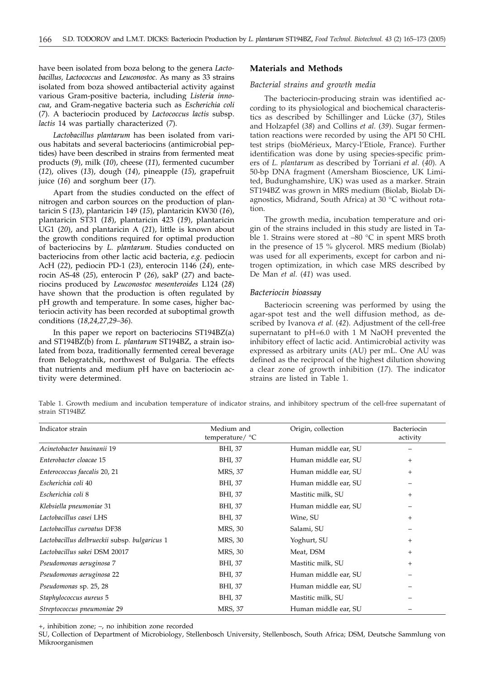have been isolated from boza belong to the genera *Lactobacillus, Lactococcus* and *Leuconostoc*. As many as 33 strains isolated from boza showed antibacterial activity against various Gram-positive bacteria, including *Listeria innocua*, and Gram-negative bacteria such as *Escherichia coli* (*7*). A bacteriocin produced by *Lactococcus lactis* subsp. *lactis* 14 was partially characterized (*7*).

*Lactobacillus plantarum* has been isolated from various habitats and several bacteriocins (antimicrobial peptides) have been described in strains from fermented meat products (*9*), milk (*10*), cheese (*11*), fermented cucumber (*12*), olives (*13*), dough (*14*), pineapple (*15*), grapefruit juice (*16*) and sorghum beer (*17*).

Apart from the studies conducted on the effect of nitrogen and carbon sources on the production of plantaricin S (*13*), plantaricin 149 (*15*), plantaricin KW30 (*16*), plantaricin ST31 (*18*), plantaricin 423 (*19*), plantaricin UG1 (*20*), and plantaricin A (*21*), little is known about the growth conditions required for optimal production of bacteriocins by *L. plantarum*. Studies conducted on bacteriocins from other lactic acid bacteria, *e.g.* pediocin AcH (*22*), pediocin PD-1 (*23*), enterocin 1146 (*24*), enterocin AS-48 (*25*), enterocin P (*26*), sakP (*27*) and bacteriocins produced by *Leuconostoc mesenteroides* L124 (*28*) have shown that the production is often regulated by pH growth and temperature. In some cases, higher bacteriocin activity has been recorded at suboptimal growth conditions (*18,24,27,29–36*).

In this paper we report on bacteriocins ST194BZ(a) and ST194BZ(b) from *L. plantarum* ST194BZ, a strain isolated from boza, traditionally fermented cereal beverage from Belogratchik, northwest of Bulgaria. The effects that nutrients and medium pH have on bacteriocin activity were determined.

### **Materials and Methods**

#### *Bacterial strains and growth media*

The bacteriocin-producing strain was identified according to its physiological and biochemical characteristics as described by Schillinger and Lücke (*37*), Stiles and Holzapfel (*38*) and Collins *et al.* (*39*). Sugar fermentation reactions were recorded by using the API 50 CHL test strips (bioMérieux, Marcy-l'Etiole, France). Further identification was done by using species-specific primers of *L. plantarum* as described by Torriani *et al*. (*40*). A 50-bp DNA fragment (Amersham Bioscience, UK Limited, Budunghamshire, UK) was used as a marker. Strain ST194BZ was grown in MRS medium (Biolab, Biolab Diagnostics, Midrand, South Africa) at 30 °C without rotation.

The growth media, incubation temperature and origin of the strains included in this study are listed in Table 1. Strains were stored at –80 °C in spent MRS broth in the presence of 15 % glycerol. MRS medium (Biolab) was used for all experiments, except for carbon and nitrogen optimization, in which case MRS described by De Man *et al.* (*41*) was used.

#### *Bacteriocin bioassay*

Bacteriocin screening was performed by using the agar-spot test and the well diffusion method, as described by Ivanova *et al.* (*42*). Adjustment of the cell-free supernatant to pH=6.0 with 1 M NaOH prevented the inhibitory effect of lactic acid. Antimicrobial activity was expressed as arbitrary units (AU) per mL. One AU was defined as the reciprocal of the highest dilution showing a clear zone of growth inhibition (*17*). The indicator strains are listed in Table 1.

Table 1. Growth medium and incubation temperature of indicator strains, and inhibitory spectrum of the cell-free supernatant of strain ST194BZ

| Indicator strain                              | Medium and<br>temperature/ °C | Origin, collection   | Bacteriocin<br>activity |
|-----------------------------------------------|-------------------------------|----------------------|-------------------------|
| Acinetobacter bauinanii 19                    | BHI, 37                       | Human middle ear, SU |                         |
| Enterobacter cloacae 15                       | BHI, 37                       | Human middle ear, SU | $+$                     |
| Enterococcus faecalis 20, 21                  | MRS, 37                       | Human middle ear, SU | $^+$                    |
| Escherichia coli 40                           | BHI, 37                       | Human middle ear, SU |                         |
| Escherichia coli 8                            | BHI, 37                       | Mastitic milk, SU    | $^{+}$                  |
| Klebsiella pneumoniae 31                      | BHI, 37                       | Human middle ear, SU |                         |
| Lactobacillus casei LHS                       | BHI, 37                       | Wine, SU             | $^{+}$                  |
| Lactobacillus curvatus DF38                   | MRS, 30                       | Salami, SU           |                         |
| Lactobacillus delbrueckii subsp. bulgaricus 1 | MRS, 30                       | Yoghurt, SU          | $^{+}$                  |
| Lactobacillus sakei DSM 20017                 | MRS, 30                       | Meat, DSM            | $+$                     |
| Pseudomonas aeruginosa 7                      | BHI, 37                       | Mastitic milk, SU    | $\! + \!\!\!\!$         |
| Pseudomonas aeruginosa 22                     | BHI, 37                       | Human middle ear, SU |                         |
| Pseudomonas sp. 25, 28                        | BHI, 37                       | Human middle ear, SU |                         |
| Staphylococcus aureus 5                       | BHI, 37                       | Mastitic milk, SU    |                         |
| Streptococcus pneumoniae 29                   | MRS, 37                       | Human middle ear, SU |                         |

+, inhibition zone; –, no inhibition zone recorded

SU, Collection of Department of Microbiology, Stellenbosch University, Stellenbosch, South Africa; DSM, Deutsche Sammlung von Mikroorganismen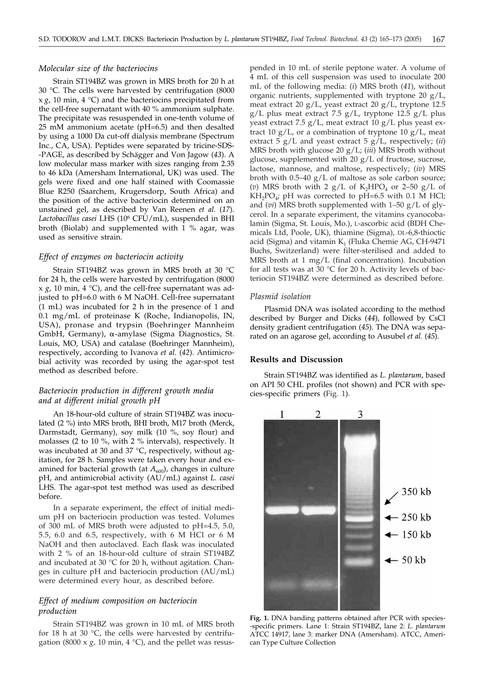### *Molecular size of the bacteriocins*

Strain ST194BZ was grown in MRS broth for 20 h at 30 °C. The cells were harvested by centrifugation (8000  $x g$ , 10 min, 4 °C) and the bacteriocins precipitated from the cell-free supernatant with 40 % ammonium sulphate. The precipitate was resuspended in one-tenth volume of 25 mM ammonium acetate (pH=6.5) and then desalted by using a 1000 Da cut-off dialysis membrane (Spectrum Inc., CA, USA). Peptides were separated by tricine-SDS- -PAGE, as described by Schägger and Von Jagow (*43*). A low molecular mass marker with sizes ranging from 2.35 to 46 kDa (Amersham International, UK) was used. The gels were fixed and one half stained with Coomassie Blue R250 (Saarchem, Krugersdorp, South Africa) and the position of the active bacteriocin determined on an unstained gel, as described by Van Reenen *et al.* (*17*). *Lactobacillus casei* LHS (106 CFU/mL), suspended in BHI broth (Biolab) and supplemented with 1 % agar, was used as sensitive strain.

#### *Effect of enzymes on bacteriocin activity*

Strain ST194BZ was grown in MRS broth at 30 °C for 24 h, the cells were harvested by centrifugation (8000 x *g*, 10 min, 4 °C), and the cell-free supernatant was adjusted to pH=6.0 with 6 M NaOH. Cell-free supernatant (1 mL) was incubated for 2 h in the presence of 1 and 0.1 mg/mL of proteinase K (Roche, Indianopolis, IN, USA), pronase and trypsin (Boehringer Mannheim GmbH, Germany), a-amylase (Sigma Diagnostics, St. Louis, MO, USA) and catalase (Boehringer Mannheim), respectively, according to Ivanova *et al.* (*42*). Antimicrobial activity was recorded by using the agar-spot test method as described before.

### *Bacteriocin production in different growth media and at different initial growth pH*

An 18-hour-old culture of strain ST194BZ was inoculated (2 %) into MRS broth, BHI broth, M17 broth (Merck, Darmstadt, Germany), soy milk (10 %, soy flour) and molasses (2 to 10 %, with 2 % intervals), respectively. It was incubated at 30 and 37 °C, respectively, without agitation, for 28 h. Samples were taken every hour and examined for bacterial growth (at  $A_{600}$ ), changes in culture pH, and antimicrobial activity (AU/mL) against *L. casei* LHS. The agar-spot test method was used as described before.

In a separate experiment, the effect of initial medium pH on bacteriocin production was tested. Volumes of 300 mL of MRS broth were adjusted to pH=4.5, 5.0, 5.5, 6.0 and 6.5, respectively, with 6 M HCl or 6 M NaOH and then autoclaved. Each flask was inoculated with 2 % of an 18-hour-old culture of strain ST194BZ and incubated at 30 °C for 20 h, without agitation. Changes in culture pH and bacteriocin production (AU/mL) were determined every hour, as described before.

### *Effect of medium composition on bacteriocin production*

Strain ST194BZ was grown in 10 mL of MRS broth for 18 h at 30 °C, the cells were harvested by centrifugation (8000 x  $g$ , 10 min, 4 °C), and the pellet was resuspended in 10 mL of sterile peptone water. A volume of 4 mL of this cell suspension was used to inoculate 200 mL of the following media: (*i*) MRS broth (*41*), without organic nutrients, supplemented with tryptone 20 g/L, meat extract 20 g/L, yeast extract 20 g/L, tryptone 12.5  $g/L$  plus meat extract 7.5  $g/L$ , tryptone 12.5  $g/L$  plus yeast extract 7.5 g/L, meat extract 10 g/L plus yeast extract 10  $g/L$ , or a combination of tryptone 10  $g/L$ , meat extract 5 g/L and yeast extract 5 g/L, respectively; (*ii*) MRS broth with glucose 20 g/L; (*iii*) MRS broth without glucose, supplemented with 20 g/L of fructose, sucrose, lactose, mannose, and maltose, respectively; (*iv*) MRS broth with 0.5–40 g/L of maltose as sole carbon source; (*v*) MRS broth with 2  $g/L$  of K<sub>2</sub>HPO<sub>4</sub> or 2–50  $g/L$  of  $KH_2PO_4$ ; pH was corrected to pH=6.5 with 0.1 M HCl; and (*vi*) MRS broth supplemented with 1–50 g/L of glycerol. In a separate experiment, the vitamins cyanocobalamin (Sigma, St. Louis, Mo.), L-ascorbic acid (BDH Chemicals Ltd, Poole, UK), thiamine (Sigma), DL-6,8-thioctic acid (Sigma) and vitamin  $K<sub>1</sub>$  (Fluka Chemie AG, CH-9471 Buchs, Switzerland) were filter-sterilised and added to MRS broth at 1 mg/L (final concentration). Incubation for all tests was at  $30 °C$  for 20 h. Activity levels of bacteriocin ST194BZ were determined as described before.

### *Plasmid isolation*

Plasmid DNA was isolated according to the method described by Burger and Dicks (*44*), followed by CsCl density gradient centrifugation (*45*). The DNA was separated on an agarose gel, according to Ausubel *et al.* (*45*).

### **Results and Discussion**

Strain ST194BZ was identified as *L. plantarum*, based on API 50 CHL profiles (not shown) and PCR with species-specific primers (Fig. 1).



**Fig. 1.** DNA banding patterns obtained after PCR with species- -specific primers. Lane 1: Strain ST194BZ, lane 2: *L. plantarum* ATCC 14917, lane 3: marker DNA (Amersham). ATCC, American Type Culture Collection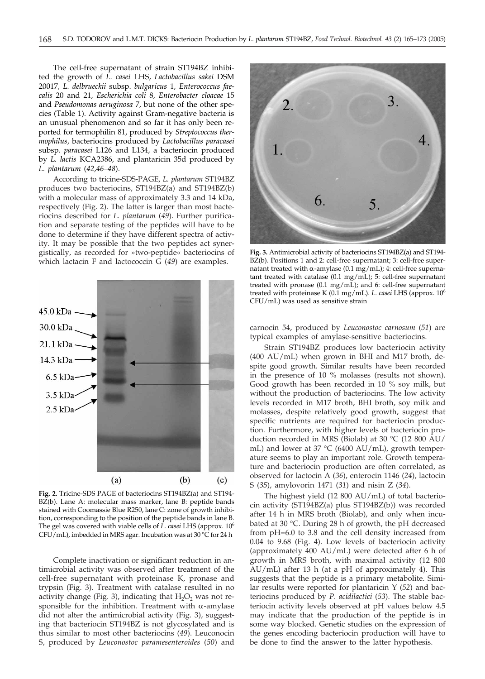The cell-free supernatant of strain ST194BZ inhibited the growth of *L. casei* LHS, *Lactobacillus sakei* DSM 20017*, L. delbrueckii* subsp. *bulgaricus* 1*, Enterococcus faecalis* 20 and 21*, Escherichia coli* 8*, Enterobacter cloacae* 15 and *Pseudomonas aeruginosa* 7*,* but none of the other species (Table 1). Activity against Gram-negative bacteria is an unusual phenomenon and so far it has only been reported for termophilin 81, produced by *Streptococcus thermophilus*, bacteriocins produced by *Lactobacillus paracasei* subsp. *paracasei* L126 and L134, a bacteriocin produced by *L. lactis* KCA2386, and plantaricin 35d produced by *L. plantarum* (*42,46–48*).

According to tricine-SDS-PAGE, *L. plantarum* ST194BZ produces two bacteriocins, ST194BZ(a) and ST194BZ(b) with a molecular mass of approximately 3.3 and 14 kDa, respectively (Fig. 2). The latter is larger than most bacteriocins described for *L. plantarum* (*49*). Further purification and separate testing of the peptides will have to be done to determine if they have different spectra of activity. It may be possible that the two peptides act synergistically, as recorded for »two-peptide« bacteriocins of which lactacin F and lactococcin G (*49*) are examples.



**Fig. 2.** Tricine-SDS PAGE of bacteriocins ST194BZ(a) and ST194- BZ(b). Lane A: molecular mass marker, lane B: peptide bands stained with Coomassie Blue R250, lane C: zone of growth inhibition, corresponding to the position of the peptide bands in lane B. The gel was covered with viable cells of *L. casei* LHS (approx. 10<sup>6</sup> CFU/mL), imbedded in MRS agar. Incubation was at 30 °C for 24 h

Complete inactivation or significant reduction in antimicrobial activity was observed after treatment of the cell-free supernatant with proteinase K, pronase and trypsin (Fig. 3). Treatment with catalase resulted in no activity change (Fig. 3), indicating that  $H_2O_2$  was not responsible for the inhibition. Treatment with  $\alpha$ -amylase did not alter the antimicrobial activity (Fig. 3), suggesting that bacteriocin ST194BZ is not glycosylated and is thus similar to most other bacteriocins (*49*). Leuconocin S, produced by *Leuconostoc paramesenteroides* (*50*) and



**Fig. 3.** Antimicrobial activity of bacteriocins ST194BZ(a) and ST194- BZ(b). Positions 1 and 2: cell-free supernatant; 3: cell-free supernatant treated with  $\alpha$ -amylase (0.1 mg/mL); 4: cell-free supernatant treated with catalase (0.1 mg/mL); 5: cell-free supernatant treated with pronase (0.1 mg/mL); and 6: cell-free supernatant treated with proteinase K (0.1 mg/mL). *L. casei* LHS (approx. 10<sup>6</sup> CFU/mL) was used as sensitive strain

carnocin 54, produced by *Leuconostoc carnosum* (*51*) are typical examples of amylase-sensitive bacteriocins.

Strain ST194BZ produces low bacteriocin activity (400 AU/mL) when grown in BHI and M17 broth, despite good growth. Similar results have been recorded in the presence of 10 % molasses (results not shown). Good growth has been recorded in 10 % soy milk, but without the production of bacteriocins. The low activity levels recorded in M17 broth, BHI broth, soy milk and molasses, despite relatively good growth, suggest that specific nutrients are required for bacteriocin production. Furthermore, with higher levels of bacteriocin production recorded in MRS (Biolab) at 30 °C (12 800 AU/ mL) and lower at 37 °C (6400 AU/mL), growth temperature seems to play an important role. Growth temperature and bacteriocin production are often correlated, as observed for lactocin A (*36*), enterocin 1146 (*24*), lactocin S (*35*), amylovorin 1471 (*31*) and nisin Z (*34*).

The highest yield (12 800 AU/mL) of total bacteriocin activity (ST194BZ(a) plus ST194BZ(b)) was recorded after 14 h in MRS broth (Biolab), and only when incubated at 30 °C. During 28 h of growth, the pH decreased from pH=6.0 to 3.8 and the cell density increased from 0.04 to 9.68 (Fig. 4). Low levels of bacteriocin activity (approximately 400 AU/mL) were detected after 6 h of growth in MRS broth, with maximal activity (12 800 AU/mL) after 13 h (at a pH of approximately 4). This suggests that the peptide is a primary metabolite. Similar results were reported for plantaricin Y (*52*) and bacteriocins produced by *P. acidilactici* (*53*). The stable bacteriocin activity levels observed at pH values below 4.5 may indicate that the production of the peptide is in some way blocked. Genetic studies on the expression of the genes encoding bacteriocin production will have to be done to find the answer to the latter hypothesis.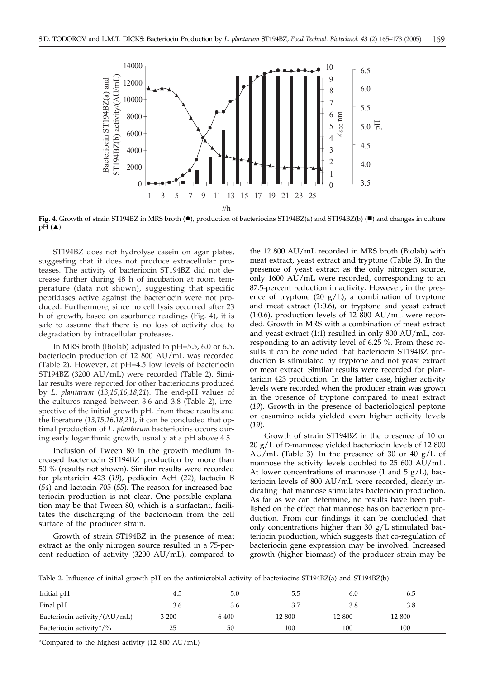

Fig. 4. Growth of strain ST194BZ in MRS broth ( $\bullet$ ), production of bacteriocins ST194BZ(a) and ST194BZ(b) ( $\blacksquare$ ) and changes in culture  $pH(\triangle)$ 

ST194BZ does not hydrolyse casein on agar plates, suggesting that it does not produce extracellular proteases. The activity of bacteriocin ST194BZ did not decrease further during 48 h of incubation at room temperature (data not shown), suggesting that specific peptidases active against the bacteriocin were not produced. Furthermore, since no cell lysis occurred after 23 h of growth, based on asorbance readings (Fig. 4), it is safe to assume that there is no loss of activity due to degradation by intracellular proteases.

In MRS broth (Biolab) adjusted to pH=5.5, 6.0 or 6.5, bacteriocin production of 12 800 AU/mL was recorded (Table 2). However, at pH=4.5 low levels of bacteriocin ST194BZ (3200 AU/mL) were recorded (Table 2). Similar results were reported for other bacteriocins produced by *L. plantarum* (*13,15,16,18,21*). The end-pH values of the cultures ranged between 3.6 and 3.8 (Table 2), irrespective of the initial growth pH. From these results and the literature (*13,15,16,18,21*), it can be concluded that optimal production of *L. plantarum* bacteriocins occurs during early logarithmic growth, usually at a pH above 4.5.

Inclusion of Tween 80 in the growth medium increased bacteriocin ST194BZ production by more than 50 % (results not shown). Similar results were recorded for plantaricin 423 (*19*), pediocin AcH (*22*), lactacin B (*54*) and lactocin 705 (*55*). The reason for increased bacteriocin production is not clear. One possible explanation may be that Tween 80, which is a surfactant, facilitates the discharging of the bacteriocin from the cell surface of the producer strain.

Growth of strain ST194BZ in the presence of meat extract as the only nitrogen source resulted in a 75-percent reduction of activity (3200 AU/mL), compared to

the 12 800 AU/mL recorded in MRS broth (Biolab) with meat extract, yeast extract and tryptone (Table 3). In the presence of yeast extract as the only nitrogen source, only 1600 AU/mL were recorded, corresponding to an 87.5-percent reduction in activity. However, in the presence of tryptone (20  $g/L$ ), a combination of tryptone and meat extract (1:0.6), or tryptone and yeast extract (1:0.6), production levels of 12 800 AU/mL were recorded. Growth in MRS with a combination of meat extract and yeast extract (1:1) resulted in only 800 AU/mL, corresponding to an activity level of 6.25 %. From these results it can be concluded that bacteriocin ST194BZ production is stimulated by tryptone and not yeast extract or meat extract. Similar results were recorded for plantaricin 423 production. In the latter case, higher activity levels were recorded when the producer strain was grown in the presence of tryptone compared to meat extract (*19*). Growth in the presence of bacteriological peptone or casamino acids yielded even higher activity levels (*19*).

Growth of strain ST194BZ in the presence of 10 or 20 g/L of D-mannose yielded bacteriocin levels of 12 800 AU/mL (Table 3). In the presence of 30 or 40  $g/L$  of mannose the activity levels doubled to 25 600 AU/mL. At lower concentrations of mannose (1 and 5  $g/L$ ), bacteriocin levels of 800 AU/mL were recorded, clearly indicating that mannose stimulates bacteriocin production. As far as we can determine, no results have been published on the effect that mannose has on bacteriocin production. From our findings it can be concluded that only concentrations higher than 30  $g/L$  stimulated bacteriocin production, which suggests that co-regulation of bacteriocin gene expression may be involved. Increased growth (higher biomass) of the producer strain may be

Table 2. Influence of initial growth pH on the antimicrobial activity of bacteriocins ST194BZ(a) and ST194BZ(b)

| Initial pH                   | 4.5   | 5.0   | 5.5    | 6.0    | 6.5    |  |
|------------------------------|-------|-------|--------|--------|--------|--|
| Final pH                     | 3.6   | 3.6   | 3.7    | 3.8    | 3.8    |  |
| Bacteriocin activity/(AU/mL) | 3 200 | 6 400 | 12 800 | 12 800 | 12 800 |  |
| Bacteriocin activity*/%      | 25    | 50    | 100    | 100    | 100    |  |

\*Compared to the highest activity (12 800 AU/mL)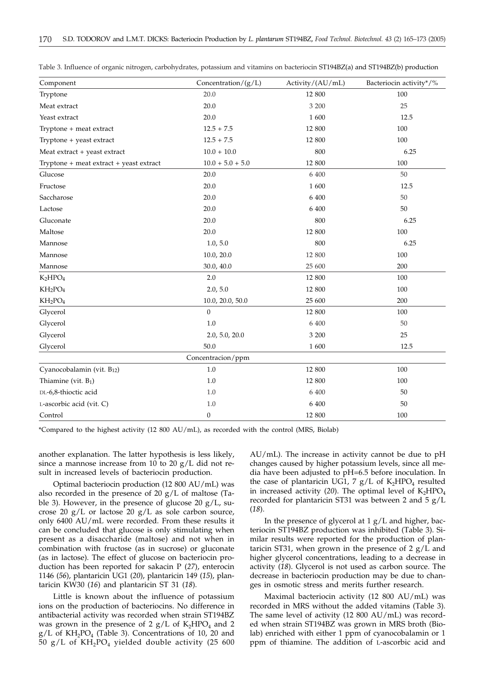| Component                               | Concentration/ $(g/L)$ | Activity/(AU/mL) | Bacteriocin activity*/% |
|-----------------------------------------|------------------------|------------------|-------------------------|
| Tryptone                                | 20.0                   | 12 800           | 100                     |
| Meat extract                            | 20.0                   | 3 200            | 25                      |
| Yeast extract                           | 20.0                   | 1 600            | 12.5                    |
| Tryptone + meat extract                 | $12.5 + 7.5$           | 12 800           | 100                     |
| Tryptone + yeast extract                | $12.5 + 7.5$           | 12 800           | 100                     |
| Meat extract + yeast extract            | $10.0 + 10.0$          | 800              | 6.25                    |
| Tryptone + meat extract + yeast extract | $10.0 + 5.0 + 5.0$     | 12 800           | 100                     |
| Glucose                                 | 20.0                   | 6 400            | 50                      |
| Fructose                                | 20.0                   | 1 600            | 12.5                    |
| Saccharose                              | 20.0                   | 6 400            | 50                      |
| Lactose                                 | 20.0                   | 6 400            | 50                      |
| Gluconate                               | 20.0                   | 800              | 6.25                    |
| Maltose                                 | 20.0                   | 12 800           | 100                     |
| Mannose                                 | 1.0, 5.0               | 800              | 6.25                    |
| Mannose                                 | 10.0, 20.0             | 12 800           | 100                     |
| Mannose                                 | 30.0, 40.0             | 25 600           | 200                     |
| $K_2HPO_4$                              | 2.0                    | 12 800           | 100                     |
| $KH_2PO_4$                              | 2.0, 5.0               | 12 800           | 100                     |
| $KH_2PO_4$                              | 10.0, 20.0, 50.0       | 25 600           | 200                     |
| Glycerol                                | $\overline{0}$         | 12 800           | 100                     |
| Glycerol                                | 1.0                    | 6 400            | 50                      |
| Glycerol                                | 2.0, 5.0, 20.0         | 3 200            | 25                      |
| Glycerol                                | 50.0                   | 1 600            | 12.5                    |
|                                         | Concentracion/ppm      |                  |                         |
| Cyanocobalamin (vit. B <sub>12</sub> )  | $1.0\,$                | 12 800           | 100                     |
| Thiamine (vit. $B_1$ )                  | 1.0                    | 12 800           | 100                     |
| DL-6,8-thioctic acid                    | 1.0                    | 6 400            | 50                      |
| L-ascorbic acid (vit. C)                | 1.0                    | 6 400            | 50                      |
| Control                                 | $\boldsymbol{0}$       | 12 800           | 100                     |

Table 3. Influence of organic nitrogen, carbohydrates, potassium and vitamins on bacteriocin ST194BZ(a) and ST194BZ(b) production

\*Compared to the highest activity (12 800 AU/mL), as recorded with the control (MRS, Biolab)

another explanation. The latter hypothesis is less likely, since a mannose increase from 10 to 20  $g/L$  did not result in increased levels of bacteriocin production.

Optimal bacteriocin production (12 800 AU/mL) was also recorded in the presence of 20 g/L of maltose (Table 3). However, in the presence of glucose 20 g/L, sucrose 20  $g/L$  or lactose 20  $g/L$  as sole carbon source, only 6400 AU/mL were recorded. From these results it can be concluded that glucose is only stimulating when present as a disaccharide (maltose) and not when in combination with fructose (as in sucrose) or gluconate (as in lactose). The effect of glucose on bacteriocin production has been reported for sakacin P (*27*), enterocin 1146 (*56*), plantaricin UG1 (*20*), plantaricin 149 (*15*), plantaricin KW30 (*16*) and plantaricin ST 31 (*18*).

Little is known about the influence of potassium ions on the production of bacteriocins. No difference in antibacterial activity was recorded when strain ST194BZ was grown in the presence of 2  $g/L$  of  $K_2HPO_4$  and 2  $g/L$  of  $KH_2PO_4$  (Table 3). Concentrations of 10, 20 and 50 g/L of  $KH_2PO_4$  yielded double activity (25 600

AU/mL). The increase in activity cannot be due to pH changes caused by higher potassium levels, since all media have been adjusted to pH=6.5 before inoculation. In the case of plantaricin UG1, 7  $g/L$  of K<sub>2</sub>HPO<sub>4</sub> resulted in increased activity (20). The optimal level of  $K_2HPO_4$ recorded for plantaricin ST31 was between 2 and 5 g/L (*18*).

In the presence of glycerol at 1 g/L and higher, bacteriocin ST194BZ production was inhibited (Table 3). Similar results were reported for the production of plantaricin ST31, when grown in the presence of  $2 g/L$  and higher glycerol concentrations, leading to a decrease in activity (*18*). Glycerol is not used as carbon source. The decrease in bacteriocin production may be due to changes in osmotic stress and merits further research.

Maximal bacteriocin activity (12 800 AU/mL) was recorded in MRS without the added vitamins (Table 3). The same level of activity (12 800 AU/mL) was recorded when strain ST194BZ was grown in MRS broth (Biolab) enriched with either 1 ppm of cyanocobalamin or 1 ppm of thiamine. The addition of L-ascorbic acid and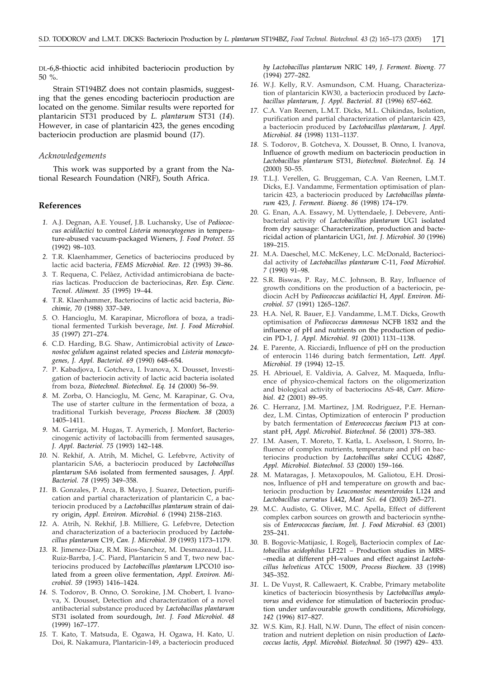DL-6,8-thioctic acid inhibited bacteriocin production by 50 %.

Strain ST194BZ does not contain plasmids, suggesting that the genes encoding bacteriocin production are located on the genome. Similar results were reported for plantaricin ST31 produced by *L. plantarum* ST31 (*14*). However, in case of plantaricin 423, the genes encoding bacteriocin production are plasmid bound (*17*).

#### *Acknowledgements*

This work was supported by a grant from the National Research Foundation (NRF), South Africa.

### **References**

- *1.* A.J. Degnan, A.E. Yousef, J.B. Luchansky, Use of *Pediococcus acidilactici* to control *Listeria monocytogenes* in temperature-abused vacuum-packaged Wieners, *J. Food Protect. 55* (1992) 98–103.
- *2.* T.R. Klaenhammer, Genetics of bacteriocins produced by lactic acid bacteria, *FEMS Microbiol. Rev. 12* (1993) 39–86.
- *3.* T. Requena, C. Pelàez, Actividad antimicrobiana de bacterias lacticas. Produccion de bacteriocinas, *Rev. Esp. Cienc. Tecnol. Aliment. 35* (1995) 19–44.
- *4.* T.R. Klaenhammer, Bacteriocins of lactic acid bacteria, *Biochimie, 70* (1988) 337–349.
- *5.* O. Hancioglu, M. Karapinar, Microflora of boza, a traditional fermented Turkish beverage, *Int. J. Food Microbiol. 35* (1997) 271–274.
- *6.* C.D. Harding, B.G. Shaw, Antimicrobial activity of *Leuconostoc gelidum* against related species and *Listeria monocytogenes, J. Appl. Bacteriol. 69* (1990) 648–654.
- *7.* P. Kabadjova, I. Gotcheva, I. Ivanova, X. Dousset, Investigation of bacteriocin activity of lactic acid bacteria isolated from boza, *Biotechnol. Biotechnol. Eq. 14* (2000) 56–59.
- *8.* M. Zorba, O. Hancioglu, M. Genc, M. Karapinar, G. Ova, The use of starter culture in the fermentation of boza, a traditional Turkish beverage, *Process Biochem. 38* (2003) 1405–1411.
- *9.* M. Garriga, M. Hugas, T. Aymerich, J. Monfort, Bacteriocinogenic activity of lactobacilli from fermented sausages, *J. Appl. Bacteriol. 75* (1993) 142–148.
- *10.* N. Rekhif, A. Atrih, M. Michel, G. Lefebvre, Activity of plantaricin SA6, a bacteriocin produced by *Lactobacillus plantarum* SA6 isolated from fermented sausages, *J. Appl. Bacteriol. 78* (1995) 349–358.
- *11.* B. Gonzales, P. Arca, B. Mayo, J. Suarez, Detection, purification and partial characterization of plantaricin C, a bacteriocin produced by a *Lactobacillus plantarum* strain of dairy origin, *Appl. Environ. Microbiol. 6* (1994) 2158–2163.
- *12.* A. Atrih, N. Rekhif, J.B. Milliere, G. Lefebvre, Detection and characterization of a bacteriocin produced by *Lactobacillus plantarum* C19, *Can. J. Microbiol. 39* (1993) 1173–1179.
- *13.* R. Jimenez-Diaz, R.M. Rios-Sanchez, M. Desmazeaud, J.L. Ruiz-Barrba, J.-C. Piard, Plantaricin S and T, two new bacteriocins produced by *Lactobacillus plantarum* LPCO10 isolated from a green olive fermentation, *Appl. Environ. Microbiol*. *59* (1993) 1416–1424.
- *14.* S. Todorov, B. Onno, O. Sorokine, J.M. Chobert, I. Ivanova, X. Dousset, Detection and characterization of a novel antibacterial substance produced by *Lactobacillus plantarum* ST31 isolated from sourdough, *Int. J. Food Microbiol*. *48* (1999) 167–177.
- *15.* T. Kato, T. Matsuda, E. Ogawa, H. Ogawa, H. Kato, U. Doi, R. Nakamura, Plantaricin-149, a bacteriocin produced

*by Lactobacillus plantarum* NRIC 149, *J. Ferment. Bioeng. 77* (1994) 277–282.

- *16.* W.J. Kelly, R.V. Asmundson, C.M. Huang, Characterization of plantaricin KW30, a bacteriocin produced by *Lactobacillus plantarum, J. Appl. Bacteriol. 81* (1996) 657–662.
- *17.* C.A. Van Reenen, L.M.T. Dicks, M.L. Chikindas, Isolation, purification and partial characterization of plantaricin 423, a bacteriocin produced by *Lactobacillus plantarum, J. Appl. Microbiol*. *84* (1998) 1131–1137.
- *18.* S. Todorov, B. Gotcheva, X. Dousset, B. Onno, I. Ivanova, Influence of growth medium on bacteriocin production in *Lactobacillus plantarum* ST31, *Biotechnol. Biotechnol. Eq. 14* (2000) 50–55.
- *19.* T.L.J. Verellen, G. Bruggeman, C.A. Van Reenen, L.M.T. Dicks, E.J. Vandamme, Fermentation optimisation of plantaricin 423, a bacteriocin produced by *Lactobacillus plantarum* 423, *J. Ferment. Bioeng*. *86* (1998) 174–179.
- *20.* G. Enan, A.A. Essawy, M. Uyttendaele, J. Debevere, Antibacterial activity of *Lactobacillus plantarum* UG1 isolated from dry sausage: Characterization, production and bactericidal action of plantaricin UG1, *Int. J. Microbiol. 30* (1996) 189–215.
- *21.* M.A. Daeschel, M.C. McKeney, L.C. McDonald, Bacteriocidal activity of *Lactobacillus plantarum* C-11, *Food Microbiol*. *7* (1990) 91–98.
- *22.* S.R. Biswas, P. Ray, M.C. Johnson, B. Ray, Influence of growth conditions on the production of a bacteriocin, pediocin AcH by *Pediococcus acidilactici* H, *Appl. Environ. Microbiol*. *57* (1991) 1265–1267.
- *23.* H.A. Nel, R. Bauer, E.J. Vandamme, L.M.T. Dicks, Growth optimisation of *Pediococcus damnosus* NCFB 1832 and the influence of pH and nutrients on the production of pediocin PD-1, *J. Appl. Microbiol*. *91* (2001) 1131–1138.
- *24.* E. Parente, A. Ricciardi, Influence of pH on the production of enterocin 1146 during batch fermentation, *Lett. Appl. Microbiol*. *19* (1994) 12–15.
- *25.* H. Abriouel, E. Valdivia, A. Galvez, M. Maqueda, Influence of physico-chemical factors on the oligomerization and biological activity of bacteriocins AS-48, *Curr. Microbiol*. *42* (2001) 89–95.
- *26.* C. Herranz, J.M. Martinez, J.M. Rodriguez, P.E. Hernandez, L.M. Cintas, Optimization of enterocin P production by batch fermentation of *Enterococcus faecium* P13 at constant pH, *Appl. Microbiol. Biotechnol*. *56* (2001) 378–383.
- *27.* I.M. Aasen, T. Moreto, T. Katla, L. Axelsson, I. Storro, Influence of complex nutrients, temperature and pH on bacteriocins production by *Lactobacillus sakei* CCUG 42687, *Appl. Microbiol. Biotechnol*. *53* (2000) 159–166.
- *28.* M. Mataragas, J. Metaxopoulos, M. Galiotou, E.H. Drosinos, Influence of pH and temperature on growth and bacteriocin production by *Leuconostoc mesenteroides* L124 and *Lactobacillus curvatus* L442, *Meat Sci. 64* (2003) 265–271.
- *29.* M.C. Audisto, G. Oliver, M.C. Apella, Effect of different complex carbon sources on growth and bacteriocin synthesis of *Enterococcus faecium, Int. J. Food Microbiol*. *63* (2001) 235–241.
- *30.* B. Bogovic-Matijasic, I. Rogelj, Bacteriocin complex of *Lactobacillus acidophilus* LF221 – Production studies in MRS- –media at different pH–values and effect against *Lactobacillus helveticus* ATCC 15009, *Process Biochem*. *33* (1998) 345–352.
- *31.* L. De Vuyst, R. Callewaert, K. Crabbe, Primary metabolite kinetics of bacteriocin biosynthesis by *Lactobacillus amylovorus* and evidence for stimulation of bacteriocin production under unfavourable growth conditions, *Microbiology, 142* (1996) 817–827.
- *32.* W.S. Kim, R.J. Hall, N.W. Dunn, The effect of nisin concentration and nutrient depletion on nisin production of *Lactococcus lactis, Appl. Microbiol. Biotechnol*. *50* (1997) 429– 433.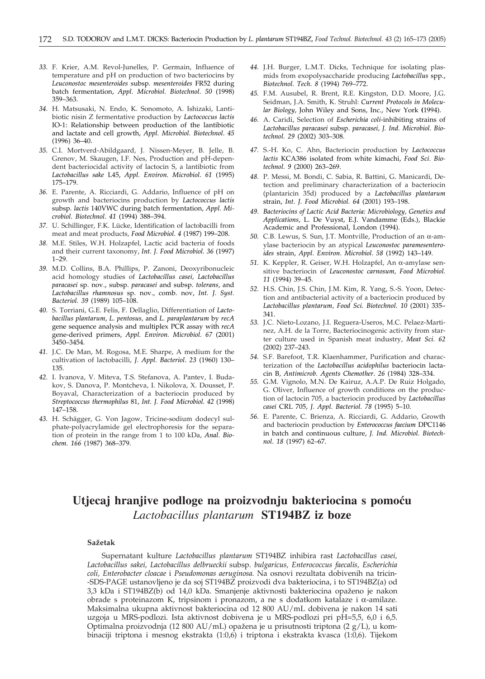- *33.* F. Krier, A.M. Revol-Junelles, P. Germain, Influence of temperature and pH on production of two bacteriocins by *Leuconostoc mesenteroides* subsp*. mesenteroides* FR52 during batch fermentation, *Appl. Microbiol. Biotechnol*. *50* (1998) 359–363.
- *34.* H. Matsusaki, N. Endo, K. Sonomoto, A. Ishizaki, Lantibiotic nisin Z fermentative production by *Lactococcus lactis* IO-1: Relationship between production of the lantibiotic and lactate and cell growth, *Appl. Microbiol. Biotechnol*. *45* (1996) 36–40.
- *35.* C.I. Mortverd-Abildgaard, J. Nissen-Meyer, B. Jelle, B. Grenov, M. Skaugen, I.F. Nes, Production and pH-dependent bacteriocidal activity of lactocin S, a lantibiotic from *Lactobacillus sake* L45, *Appl. Environ. Microbiol*. *61* (1995) 175–179.
- *36.* E. Parente, A. Ricciardi, G. Addario, Influence of pH on growth and bacteriocins production by *Lactococcus lactis* subsp. *lactis* 140VWC during batch fermentation, *Appl. Microbiol. Biotechnol*. *41* (1994) 388–394.
- *37.* U. Schillinger, F.K. Lücke, Identification of lactobacilli from meat and meat products, *Food Microbiol*. *4* (1987) 199–208.
- *38.* M.E. Stiles, W.H. Holzapfel, Lactic acid bacteria of foods and their current taxonomy, *Int. J. Food Microbiol. 36* (1997) 1–29.
- *39.* M.D. Collins, B.A. Phillips, P. Zanoni, Deoxyribonucleic acid homology studies of *Lactobacillus casei, Lactobacillus paracasei* sp. nov., subsp. *paracasei* and subsp. *tolerans*, and *Lactobacillus rhamnosus* sp. nov., comb. nov, *Int. J. Syst. Bacteriol. 39* (1989) 105–108.
- *40.* S. Torriani, G.E. Felis, F. Dellaglio, Differentiation of *Lactobacillus plantarum*, *L. pentosus,* and *L. paraplantarum* by *recA* gene sequence analysis and multiplex PCR assay with *recA* gene-derived primers, *Appl. Environ. Microbiol. 67* (2001) 3450–3454.
- *41.* J.C. De Man, M. Rogosa, M.E. Sharpe, A medium for the cultivation of lactobacilli, *J. Appl. Bacteriol*. *23* (1960) 130– 135.
- *42.* I. Ivanova, V. Miteva, T.S. Stefanova, A. Pantev, I. Budakov, S. Danova, P. Montcheva, I. Nikolova, X. Dousset, P. Boyaval, Characterization of a bacteriocin produced by *Streptococcus thermophilus* 81, *Int. J. Food Microbiol. 42* (1998) 147–158.
- *43.* H. Schägger, G. Von Jagow, Tricine-sodium dodecyl sulphate-polyacrylamide gel electrophoresis for the separation of protein in the range from 1 to 100 kDa, *Anal. Biochem. 166* (1987) 368–379.
- *44.* J.H. Burger, L.M.T. Dicks, Technique for isolating plasmids from exopolysaccharide producing *Lactobacillus* spp., *Biotechnol. Tech*. *8* (1994) 769–772.
- *45.* F.M. Ausubel, R. Brent, R.E. Kingston, D.D. Moore, J.G. Seidman, J.A. Smith, K. Struhl: *Current Protocols in Molecular Biology*, John Wiley and Sons, Inc., New York **(**1994).
- *46.* A. Caridi, Selection of *Escherichia coli*-inhibiting strains of *Lactobacillus paracasei* subsp. *paracasei, J. Ind. Microbiol. Biotechnol. 29* (2002) 303–308.
- *47.* S.-H. Ko, C. Ahn, Bacteriocin production by *Lactococcus lactis* KCA386 isolated from white kimachi, *Food Sci. Biotechnol. 9* (2000) 263–269.
- *48.* P. Messi, M. Bondi, C. Sabia, R. Battini, G. Manicardi, Detection and preliminary characterization of a bacteriocin (plantaricin 35d) produced by a *Lactobacillus plantarum* strain, *Int. J. Food Microbiol. 64* (2001) 193–198.
- *49. Bacteriocins of Lactic Acid Bacteria: Microbiology, Genetics and Applications*, L. De Vuyst, E.J. Vandamme (Eds.), Blackie Academic and Professional, London (1994).
- *50.* C.B. Lewus, S. Sun, J.T. Montville, Production of an α-amylase bacteriocin by an atypical *Leuconostoc paramesenteroides* strain, *Appl. Environ. Microbiol. 58* (1992) 143–149.
- *51.* K. Keppler, R. Geiser, W.H. Holzapfel, An α-amylase sensitive bacteriocin of *Leuconostoc carnosum, Food Microbiol. 11* (1994) 39–45.
- *52.* H.S. Chin, J.S. Chin, J.M. Kim, R. Yang, S.-S. Yoon, Detection and antibacterial activity of a bacteriocin produced by *Lactobacillus plantarum, Food Sci. Biotechnol. 10* (2001) 335– 341.
- *53.* J.C. Nieto-Lozano, J.I. Reguera-Useros, M.C. Pelaez-Martinez, A.H. de la Torre, Bacteriocinogenic activity from starter culture used in Spanish meat industry, *Meat Sci. 62* (2002) 237–243.
- *54.* S.F. Barefoot, T.R. Klaenhammer, Purification and characterization of the *Lactobacillus acidophilus* bacteriocin lactacin B, *Antimicrob. Agents Chemother*. *26* (1984) 328–334.
- *55.* G.M. Vignolo, M.N. De Kairuz, A.A.P. De Ruiz Holgado, G. Oliver, Influence of growth conditions on the production of lactocin 705, a bacteriocin produced by *Lactobacillus casei* CRL 705, *J. Appl. Bacteriol. 78* (1995) 5–10.
- *56.* E. Parente, C. Brienza, A. Ricciardi, G. Addario, Growth and bacteriocin production by *Enterococcus faecium* DPC1146 in batch and continuous culture, *J. Ind. Microbiol. Biotechnol*. *18* (1997) 62–67.

## **Utjecaj** hranjive podloge na proizvodnju bakteriocina s pomoću *Lactobacillus plantarum* **ST194BZ iz boze**

#### **Sa`etak**

Supernatant kulture *Lactobacillus plantarum* ST194BZ inhibira rast *Lactobacillus casei, Lactobacillus sakei, Lactobacillus delbrueckii* subsp. *bulgaricus, Enterococcus faecalis, Escherichia coli, Enterobacter cloacae* i *Pseudomonas aeruginosa.* Na osnovi rezultata dobivenih na tricin- -SDS-PAGE ustanovljeno je da soj ST194BZ proizvodi dva bakteriocina, i to ST194BZ(a) od 3,3 kDa i ST194BZ(b) od 14,0 kDa. Smanjenje aktivnosti bakteriocina opaženo je nakon obrade s proteinazom K, tripsinom i pronazom, a ne s dodatkom katalaze i α-amilaze. Maksimalna ukupna aktivnost bakteriocina od 12 800 AU/mL dobivena je nakon 14 sati uzgoja u MRS-podlozi. Ista aktivnost dobivena je u MRS-podlozi pri pH=5,5, 6,0 i 6,5. Optimalna proizvodnja (12 800 AU/mL) opažena je u prisutnosti triptona (2  $g/L$ ), u kombinaciji triptona i mesnog ekstrakta (1:0,6) i triptona i ekstrakta kvasca (1:0,6). Tijekom